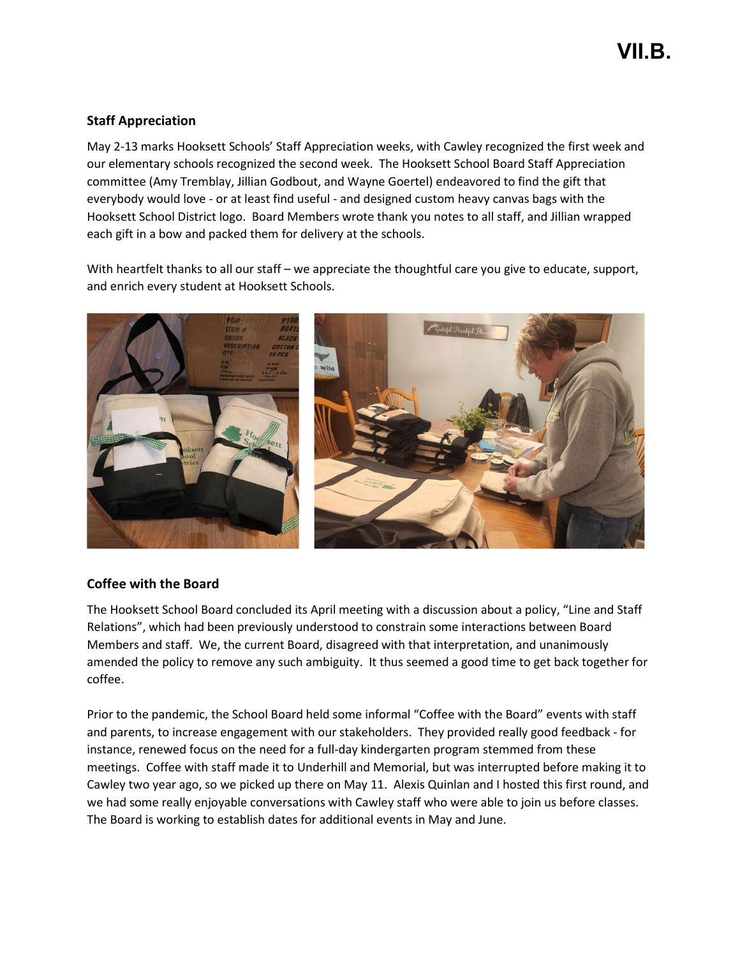## Staff Appreciation

May 2-13 marks Hooksett Schools' Staff Appreciation weeks, with Cawley recognized the first week and our elementary schools recognized the second week. The Hooksett School Board Staff Appreciation committee (Amy Tremblay, Jillian Godbout, and Wayne Goertel) endeavored to find the gift that everybody would love - or at least find useful - and designed custom heavy canvas bags with the Hooksett School District logo. Board Members wrote thank you notes to all staff, and Jillian wrapped each gift in a bow and packed them for delivery at the schools.

With heartfelt thanks to all our staff – we appreciate the thoughtful care you give to educate, support, and enrich every student at Hooksett Schools.



## Coffee with the Board

The Hooksett School Board concluded its April meeting with a discussion about a policy, "Line and Staff Relations", which had been previously understood to constrain some interactions between Board Members and staff. We, the current Board, disagreed with that interpretation, and unanimously amended the policy to remove any such ambiguity. It thus seemed a good time to get back together for coffee.

Prior to the pandemic, the School Board held some informal "Coffee with the Board" events with staff and parents, to increase engagement with our stakeholders. They provided really good feedback - for instance, renewed focus on the need for a full-day kindergarten program stemmed from these meetings. Coffee with staff made it to Underhill and Memorial, but was interrupted before making it to Cawley two year ago, so we picked up there on May 11. Alexis Quinlan and I hosted this first round, and we had some really enjoyable conversations with Cawley staff who were able to join us before classes. The Board is working to establish dates for additional events in May and June.